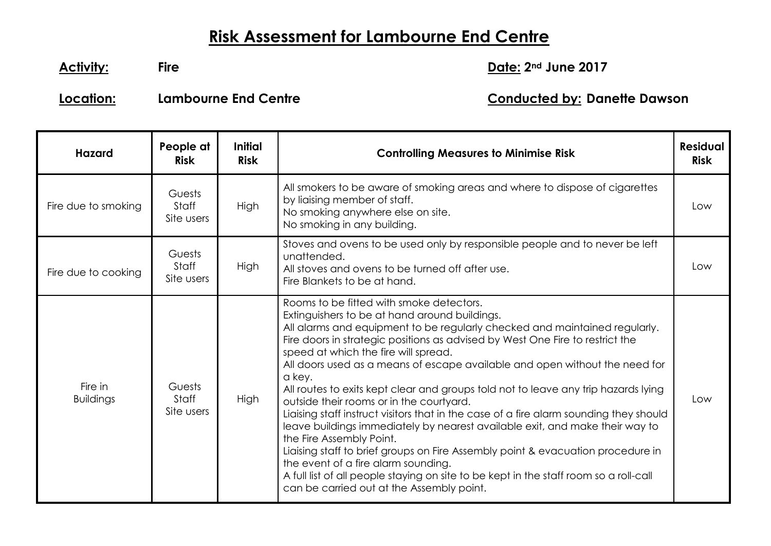## **Risk Assessment for Lambourne End Centre**

**Activity: Fire Date: 2nd June 2017**

**Location: Lambourne End Centre Conducted by: Danette Dawson**

| <b>Hazard</b>               | People at<br><b>Risk</b>      | <b>Initial</b><br><b>Risk</b> | <b>Controlling Measures to Minimise Risk</b>                                                                                                                                                                                                                                                                                                                                                                                                                                                                                                                                                                                                                                                                                                                                                                                                                                                                                                                                                      | <b>Residual</b><br><b>Risk</b> |
|-----------------------------|-------------------------------|-------------------------------|---------------------------------------------------------------------------------------------------------------------------------------------------------------------------------------------------------------------------------------------------------------------------------------------------------------------------------------------------------------------------------------------------------------------------------------------------------------------------------------------------------------------------------------------------------------------------------------------------------------------------------------------------------------------------------------------------------------------------------------------------------------------------------------------------------------------------------------------------------------------------------------------------------------------------------------------------------------------------------------------------|--------------------------------|
| Fire due to smoking         | Guests<br>Staff<br>Site users | <b>High</b>                   | All smokers to be aware of smoking areas and where to dispose of cigarettes<br>by liaising member of staff.<br>No smoking anywhere else on site.<br>No smoking in any building.                                                                                                                                                                                                                                                                                                                                                                                                                                                                                                                                                                                                                                                                                                                                                                                                                   | Low                            |
| Fire due to cooking         | Guests<br>Staff<br>Site users | <b>High</b>                   | Stoves and ovens to be used only by responsible people and to never be left<br>unattended.<br>All stoves and ovens to be turned off after use.<br>Fire Blankets to be at hand.                                                                                                                                                                                                                                                                                                                                                                                                                                                                                                                                                                                                                                                                                                                                                                                                                    | Low                            |
| Fire in<br><b>Buildings</b> | Guests<br>Staff<br>Site users | High                          | Rooms to be fitted with smoke detectors.<br>Extinguishers to be at hand around buildings.<br>All alarms and equipment to be regularly checked and maintained regularly.<br>Fire doors in strategic positions as advised by West One Fire to restrict the<br>speed at which the fire will spread.<br>All doors used as a means of escape available and open without the need for<br>a key.<br>All routes to exits kept clear and groups told not to leave any trip hazards lying<br>outside their rooms or in the courtyard.<br>Liaising staff instruct visitors that in the case of a fire alarm sounding they should<br>leave buildings immediately by nearest available exit, and make their way to<br>the Fire Assembly Point.<br>Liaising staff to brief groups on Fire Assembly point & evacuation procedure in<br>the event of a fire alarm sounding.<br>A full list of all people staying on site to be kept in the staff room so a roll-call<br>can be carried out at the Assembly point. | Low                            |